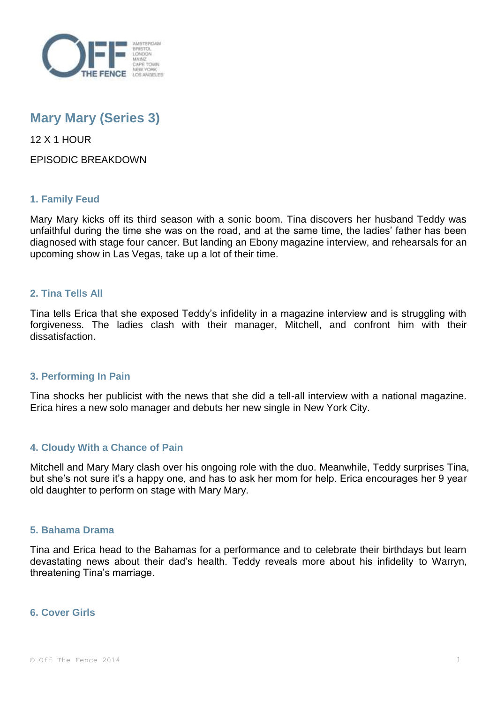

# **Mary Mary (Series 3)**

12 X 1 HOUR

EPISODIC BREAKDOWN

# **1. Family Feud**

Mary Mary kicks off its third season with a sonic boom. Tina discovers her husband Teddy was unfaithful during the time she was on the road, and at the same time, the ladies' father has been diagnosed with stage four cancer. But landing an Ebony magazine interview, and rehearsals for an upcoming show in Las Vegas, take up a lot of their time.

# **2. Tina Tells All**

Tina tells Erica that she exposed Teddy's infidelity in a magazine interview and is struggling with forgiveness. The ladies clash with their manager, Mitchell, and confront him with their dissatisfaction.

# **3. Performing In Pain**

Tina shocks her publicist with the news that she did a tell-all interview with a national magazine. Erica hires a new solo manager and debuts her new single in New York City.

# **4. Cloudy With a Chance of Pain**

Mitchell and Mary Mary clash over his ongoing role with the duo. Meanwhile, Teddy surprises Tina, but she's not sure it's a happy one, and has to ask her mom for help. Erica encourages her 9 year old daughter to perform on stage with Mary Mary.

## **5. Bahama Drama**

Tina and Erica head to the Bahamas for a performance and to celebrate their birthdays but learn devastating news about their dad's health. Teddy reveals more about his infidelity to Warryn, threatening Tina's marriage.

## **6. Cover Girls**